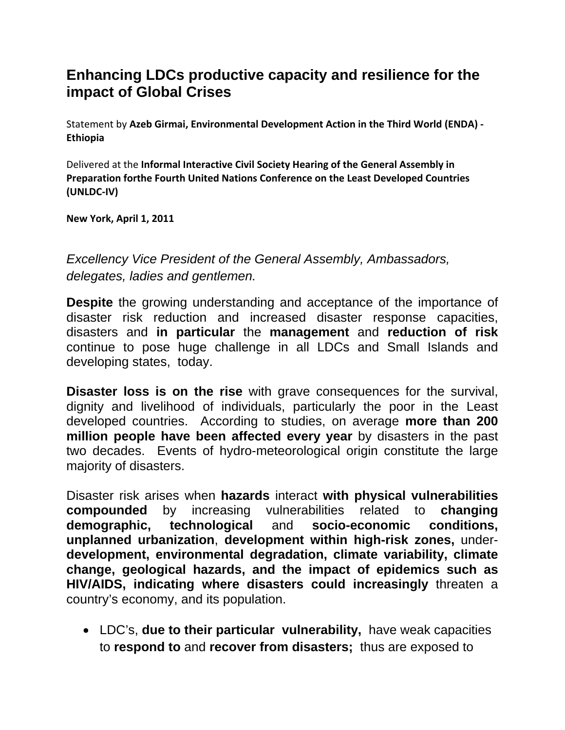## **Enhancing LDCs productive capacity and resilience for the impact of Global Crises**

Statement by **Azeb Girmai, Environmental Development Action in the Third World (ENDA) ‐ Ethiopia**

Delivered at the **Informal Interactive Civil Society Hearing of the General Assembly in Preparation forthe Fourth United Nations Conference on the Least Developed Countries (UNLDC‐IV)**

**New York, April 1, 2011**

*Excellency Vice President of the General Assembly, Ambassadors, delegates, ladies and gentlemen.* 

**Despite** the growing understanding and acceptance of the importance of disaster risk reduction and increased disaster response capacities, disasters and **in particular** the **management** and **reduction of risk**  continue to pose huge challenge in all LDCs and Small Islands and developing states, today.

**Disaster loss is on the rise** with grave consequences for the survival, dignity and livelihood of individuals, particularly the poor in the Least developed countries. According to studies, on average **more than 200 million people have been affected every year** by disasters in the past two decades. Events of hydro-meteorological origin constitute the large majority of disasters.

Disaster risk arises when **hazards** interact **with physical vulnerabilities compounded** by increasing vulnerabilities related to **changing demographic, technological** and **socio-economic conditions, unplanned urbanization**, **development within high-risk zones,** under**development, environmental degradation, climate variability, climate change, geological hazards, and the impact of epidemics such as HIV/AIDS, indicating where disasters could increasingly** threaten a country's economy, and its population.

• LDC's, **due to their particular vulnerability,** have weak capacities to **respond to** and **recover from disasters;** thus are exposed to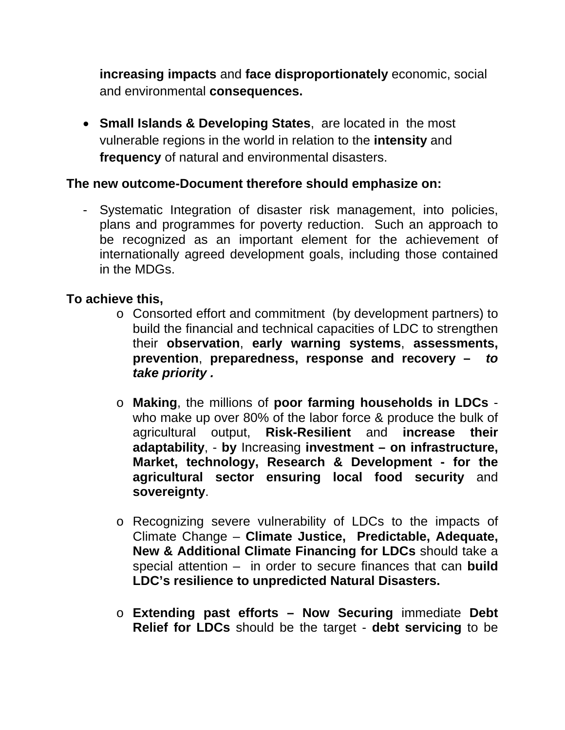**increasing impacts** and **face disproportionately** economic, social and environmental **consequences.** 

• **Small Islands & Developing States**, are located in the most vulnerable regions in the world in relation to the **intensity** and **frequency** of natural and environmental disasters.

## **The new outcome-Document therefore should emphasize on:**

- Systematic Integration of disaster risk management, into policies, plans and programmes for poverty reduction. Such an approach to be recognized as an important element for the achievement of internationally agreed development goals, including those contained in the MDGs.

## **To achieve this,**

- o Consorted effort and commitment (by development partners) to build the financial and technical capacities of LDC to strengthen their **observation**, **early warning systems**, **assessments, prevention**, **preparedness, response and recovery –** *to take priority .*
- o **Making**, the millions of **poor farming households in LDCs** who make up over 80% of the labor force & produce the bulk of agricultural output, **Risk-Resilient** and **increase their adaptability**, - **by** Increasing **investment – on infrastructure, Market, technology, Research & Development - for the agricultural sector ensuring local food security** and **sovereignty**.
- o Recognizing severe vulnerability of LDCs to the impacts of Climate Change – **Climate Justice, Predictable, Adequate, New & Additional Climate Financing for LDCs** should take a special attention – in order to secure finances that can **build LDC's resilience to unpredicted Natural Disasters.**
- o **Extending past efforts Now Securing** immediate **Debt Relief for LDCs** should be the target - **debt servicing** to be